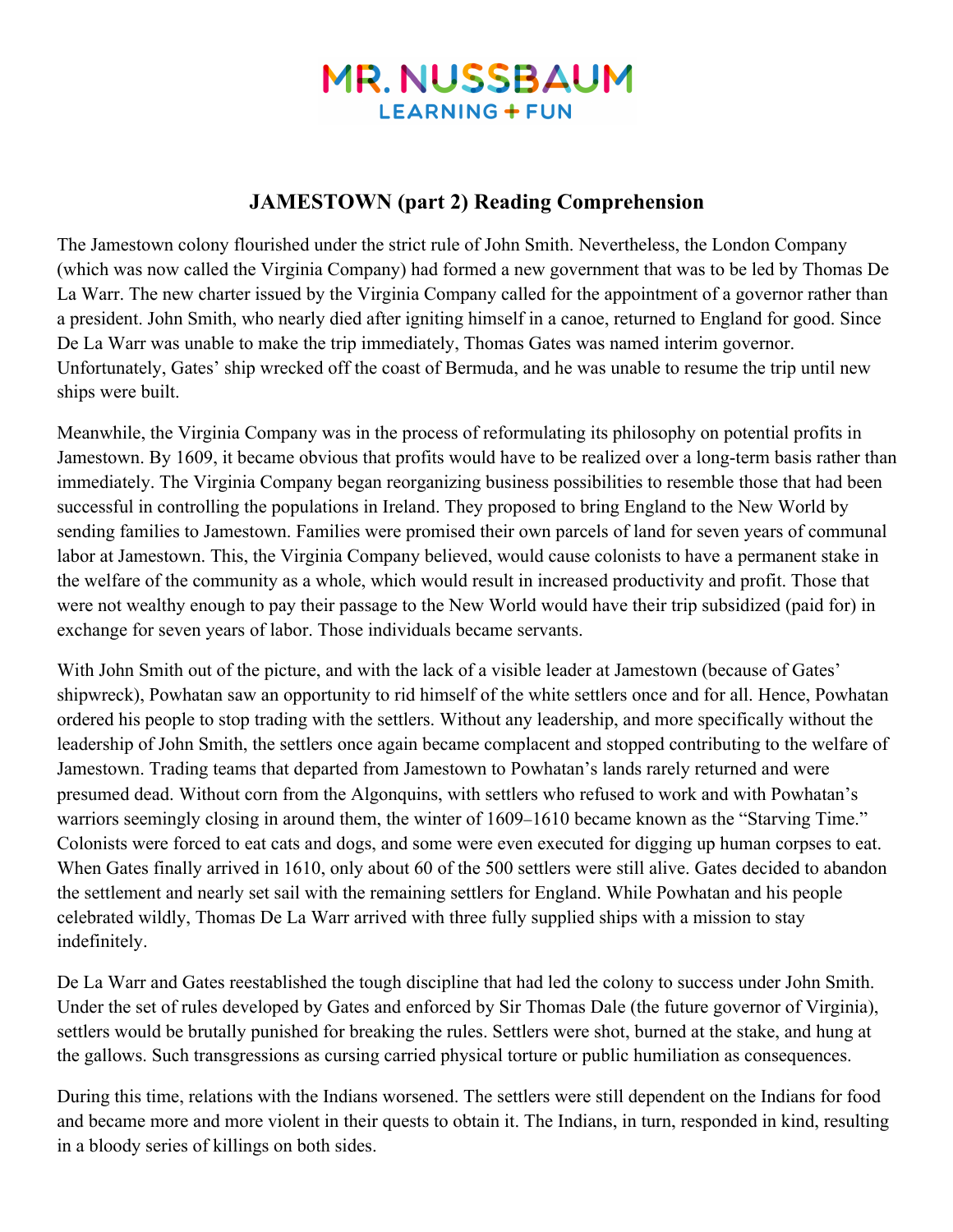# **MR. NUSSBAUM LEARNING + FUN**

## **JAMESTOWN (part 2) Reading Comprehension**

The Jamestown colony flourished under the strict rule of John Smith. Nevertheless, the London Company (which was now called the Virginia Company) had formed a new government that was to be led by Thomas De La Warr. The new charter issued by the Virginia Company called for the appointment of a governor rather than a president. John Smith, who nearly died after igniting himself in a canoe, returned to England for good. Since De La Warr was unable to make the trip immediately, Thomas Gates was named interim governor. Unfortunately, Gates' ship wrecked off the coast of Bermuda, and he was unable to resume the trip until new ships were built.

Meanwhile, the Virginia Company was in the process of reformulating its philosophy on potential profits in Jamestown. By 1609, it became obvious that profits would have to be realized over a long-term basis rather than immediately. The Virginia Company began reorganizing business possibilities to resemble those that had been successful in controlling the populations in Ireland. They proposed to bring England to the New World by sending families to Jamestown. Families were promised their own parcels of land for seven years of communal labor at Jamestown. This, the Virginia Company believed, would cause colonists to have a permanent stake in the welfare of the community as a whole, which would result in increased productivity and profit. Those that were not wealthy enough to pay their passage to the New World would have their trip subsidized (paid for) in exchange for seven years of labor. Those individuals became servants.

With John Smith out of the picture, and with the lack of a visible leader at Jamestown (because of Gates' shipwreck), Powhatan saw an opportunity to rid himself of the white settlers once and for all. Hence, Powhatan ordered his people to stop trading with the settlers. Without any leadership, and more specifically without the leadership of John Smith, the settlers once again became complacent and stopped contributing to the welfare of Jamestown. Trading teams that departed from Jamestown to Powhatan's lands rarely returned and were presumed dead. Without corn from the Algonquins, with settlers who refused to work and with Powhatan's warriors seemingly closing in around them, the winter of 1609–1610 became known as the "Starving Time." Colonists were forced to eat cats and dogs, and some were even executed for digging up human corpses to eat. When Gates finally arrived in 1610, only about 60 of the 500 settlers were still alive. Gates decided to abandon the settlement and nearly set sail with the remaining settlers for England. While Powhatan and his people celebrated wildly, Thomas De La Warr arrived with three fully supplied ships with a mission to stay indefinitely.

De La Warr and Gates reestablished the tough discipline that had led the colony to success under John Smith. Under the set of rules developed by Gates and enforced by Sir Thomas Dale (the future governor of Virginia), settlers would be brutally punished for breaking the rules. Settlers were shot, burned at the stake, and hung at the gallows. Such transgressions as cursing carried physical torture or public humiliation as consequences.

During this time, relations with the Indians worsened. The settlers were still dependent on the Indians for food and became more and more violent in their quests to obtain it. The Indians, in turn, responded in kind, resulting in a bloody series of killings on both sides.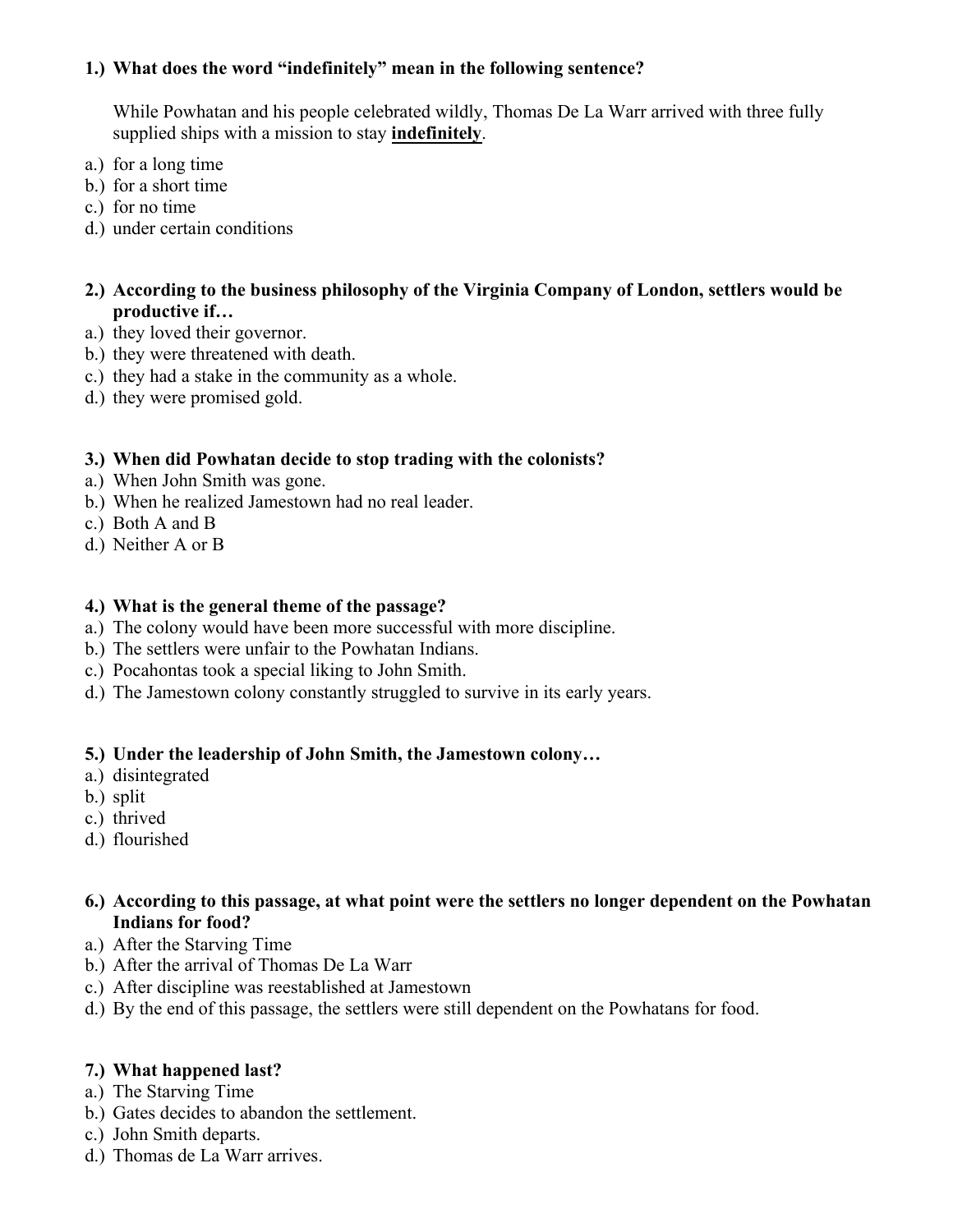#### **1.) What does the word "indefinitely" mean in the following sentence?**

While Powhatan and his people celebrated wildly, Thomas De La Warr arrived with three fully supplied ships with a mission to stay **indefinitely**.

- a.) for a long time
- b.) for a short time
- c.) for no time
- d.) under certain conditions

#### **2.) According to the business philosophy of the Virginia Company of London, settlers would be productive if…**

- a.) they loved their governor.
- b.) they were threatened with death.
- c.) they had a stake in the community as a whole.
- d.) they were promised gold.

#### **3.) When did Powhatan decide to stop trading with the colonists?**

- a.) When John Smith was gone.
- b.) When he realized Jamestown had no real leader.
- c.) Both A and B
- d.) Neither A or B

#### **4.) What is the general theme of the passage?**

- a.) The colony would have been more successful with more discipline.
- b.) The settlers were unfair to the Powhatan Indians.
- c.) Pocahontas took a special liking to John Smith.
- d.) The Jamestown colony constantly struggled to survive in its early years.

#### **5.) Under the leadership of John Smith, the Jamestown colony…**

- a.) disintegrated
- b.) split
- c.) thrived
- d.) flourished

#### **6.) According to this passage, at what point were the settlers no longer dependent on the Powhatan Indians for food?**

- a.) After the Starving Time
- b.) After the arrival of Thomas De La Warr
- c.) After discipline was reestablished at Jamestown
- d.) By the end of this passage, the settlers were still dependent on the Powhatans for food.

#### **7.) What happened last?**

- a.) The Starving Time
- b.) Gates decides to abandon the settlement.
- c.) John Smith departs.
- d.) Thomas de La Warr arrives.